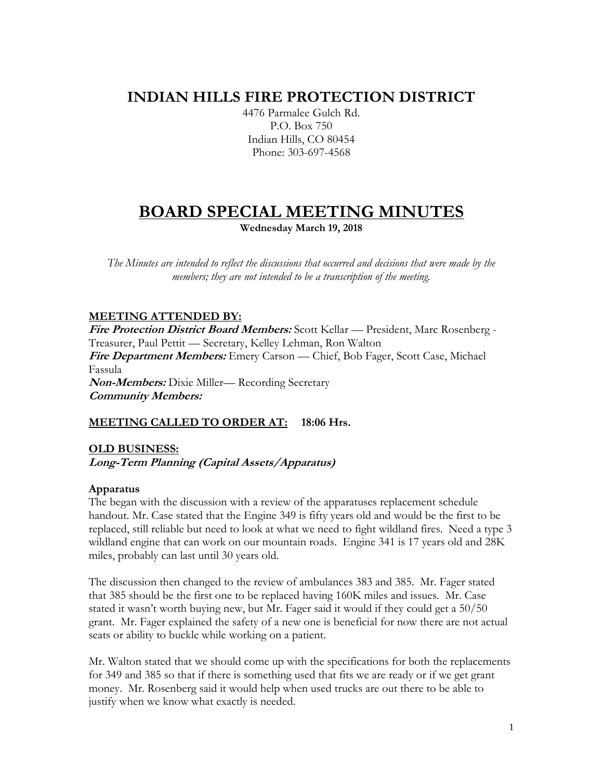# **INDIAN HILLS FIRE PROTECTION DISTRICT**

4476 Parmalee Gulch Rd. P.O. Box 750 Indian Hills, CO 80454 Phone: 303-697-4568

# **BOARD SPECIAL MEETING MINUTES**

**Wednesday March 19, 2018**

*The Minutes are intended to reflect the discussions that occurred and decisions that were made by the members; they are not intended to be a transcription of the meeting.*

## **MEETING ATTENDED BY:**

**Fire Protection District Board Members:** Scott Kellar — President, Marc Rosenberg - Treasurer, Paul Pettit — Secretary, Kelley Lehman, Ron Walton **Fire Department Members:** Emery Carson — Chief, Bob Fager, Scott Case, Michael Fassula **Non-Members:** Dixie Miller— Recording Secretary **Community Members:** 

## **MEETING CALLED TO ORDER AT: 18:06 Hrs.**

#### **OLD BUSINESS:**

**Long-Term Planning (Capital Assets/Apparatus)**

#### **Apparatus**

The began with the discussion with a review of the apparatuses replacement schedule handout. Mr. Case stated that the Engine 349 is fifty years old and would be the first to be replaced, still reliable but need to look at what we need to fight wildland fires. Need a type 3 wildland engine that can work on our mountain roads. Engine 341 is 17 years old and 28K miles, probably can last until 30 years old.

The discussion then changed to the review of ambulances 383 and 385. Mr. Fager stated that 385 should be the first one to be replaced having 160K miles and issues. Mr. Case stated it wasn't worth buying new, but Mr. Fager said it would if they could get a 50/50 grant. Mr. Fager explained the safety of a new one is beneficial for now there are not actual seats or ability to buckle while working on a patient.

Mr. Walton stated that we should come up with the specifications for both the replacements for 349 and 385 so that if there is something used that fits we are ready or if we get grant money. Mr. Rosenberg said it would help when used trucks are out there to be able to justify when we know what exactly is needed.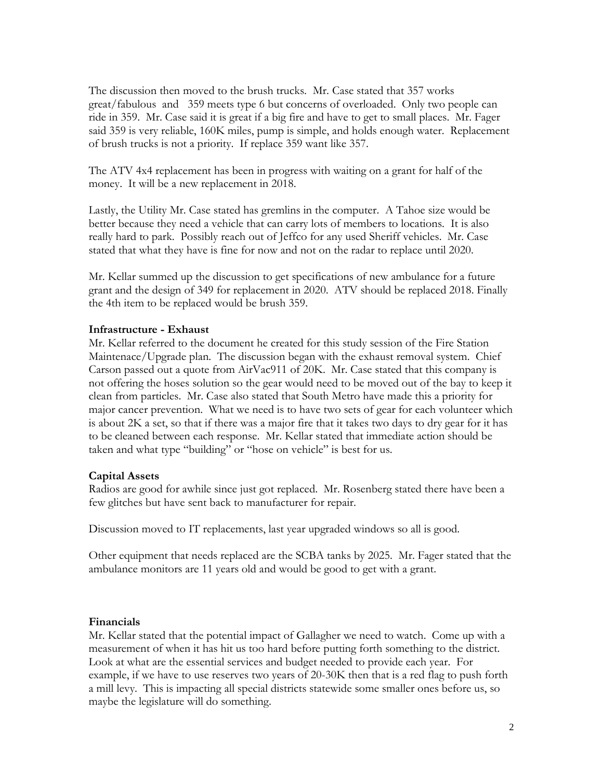The discussion then moved to the brush trucks. Mr. Case stated that 357 works great/fabulous and 359 meets type 6 but concerns of overloaded. Only two people can ride in 359. Mr. Case said it is great if a big fire and have to get to small places. Mr. Fager said 359 is very reliable, 160K miles, pump is simple, and holds enough water. Replacement of brush trucks is not a priority. If replace 359 want like 357.

The ATV 4x4 replacement has been in progress with waiting on a grant for half of the money. It will be a new replacement in 2018.

Lastly, the Utility Mr. Case stated has gremlins in the computer. A Tahoe size would be better because they need a vehicle that can carry lots of members to locations. It is also really hard to park. Possibly reach out of Jeffco for any used Sheriff vehicles. Mr. Case stated that what they have is fine for now and not on the radar to replace until 2020.

Mr. Kellar summed up the discussion to get specifications of new ambulance for a future grant and the design of 349 for replacement in 2020. ATV should be replaced 2018. Finally the 4th item to be replaced would be brush 359.

#### **Infrastructure - Exhaust**

Mr. Kellar referred to the document he created for this study session of the Fire Station Maintenace/Upgrade plan. The discussion began with the exhaust removal system. Chief Carson passed out a quote from AirVac911 of 20K. Mr. Case stated that this company is not offering the hoses solution so the gear would need to be moved out of the bay to keep it clean from particles. Mr. Case also stated that South Metro have made this a priority for major cancer prevention. What we need is to have two sets of gear for each volunteer which is about 2K a set, so that if there was a major fire that it takes two days to dry gear for it has to be cleaned between each response. Mr. Kellar stated that immediate action should be taken and what type "building" or "hose on vehicle" is best for us.

#### **Capital Assets**

Radios are good for awhile since just got replaced. Mr. Rosenberg stated there have been a few glitches but have sent back to manufacturer for repair.

Discussion moved to IT replacements, last year upgraded windows so all is good.

Other equipment that needs replaced are the SCBA tanks by 2025. Mr. Fager stated that the ambulance monitors are 11 years old and would be good to get with a grant.

#### **Financials**

Mr. Kellar stated that the potential impact of Gallagher we need to watch. Come up with a measurement of when it has hit us too hard before putting forth something to the district. Look at what are the essential services and budget needed to provide each year. For example, if we have to use reserves two years of 20-30K then that is a red flag to push forth a mill levy. This is impacting all special districts statewide some smaller ones before us, so maybe the legislature will do something.